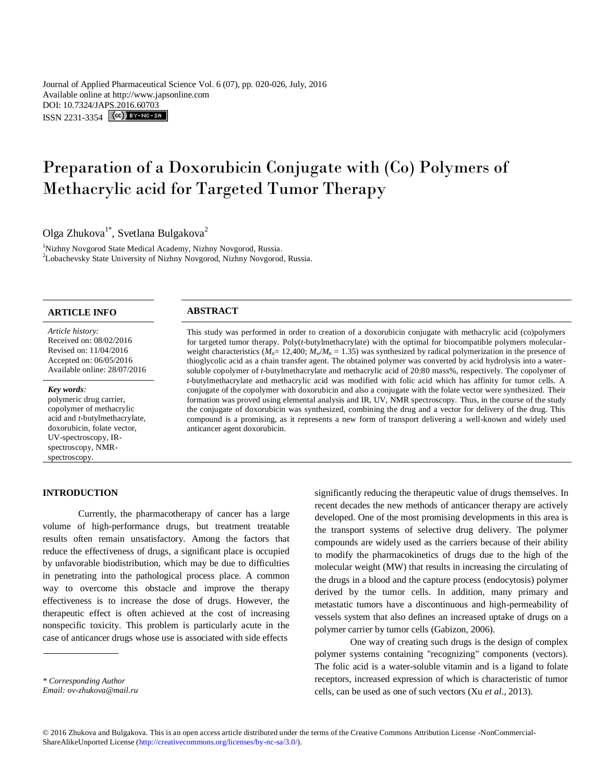Journal of Applied Pharmaceutical Science Vol. 6 (07), pp. 020-026, July, 2016 Available online at http://www.japsonline.com DOI: 10.7324/JA[PS.2016.60703](http://creativecommons.org/licenses/by-nc-sa/3.0/) ISSN 2231-3354 **(cc)** BY-NO-SA

# Preparation of a Doxorubicin Conjugate with (Co) Polymers of Methacrylic acid for Targeted Tumor Therapy

Olga Zhukova $^{1*}$ , Svetlana Bulgakova<sup>2</sup>

<sup>1</sup>Nizhny Novgorod State Medical Academy, Nizhny Novgorod, Russia. 2 Lobachevsky State University of Nizhny Novgorod, Nizhny Novgorod, Russia.

# **ARTICLE INFO ABSTRACT**

#### *Article history:*

Received on: 08/02/2016 Revised on: 11/04/2016 Accepted on: 06/05/2016 Available online: 28/07/2016

#### *Key words:*

polymeric drug carrier, copolymer of methacrylic acid and *t*-butylmethacrylate, doxorubicin, folate vector, UV-spectroscopy, IRspectroscopy, NMRspectroscopy.

#### **INTRODUCTION**

This study was performed in order to creation of a doxorubicin conjugate with methacrylic acid (co)polymers for targeted tumor therapy. Poly(*t*-butylmethacrylate) with the optimal for biocompatible polymers molecularweight characteristics  $(M_n= 12,400; M_w/M_n = 1.35)$  was synthesized by radical polymerization in the presence of thioglycolic acid as a chain transfer agent. The obtained polymer was converted by acid hydrolysis into a watersoluble copolymer of *t*-butylmethacrylate and methacrylic acid of 20:80 mass%, respectively. The copolymer of *t*-butylmethacrylate and methacrylic acid was modified with folic acid which has affinity for tumor cells. A conjugate of the copolymer with doxorubicin and also a conjugate with the folate vector were synthesized. Their formation was proved using elemental analysis and IR, UV, NMR spectroscopy. Thus, in the course of the study the conjugate of doxorubicin was synthesized, combining the drug and a vector for delivery of the drug. This compound is a promising, as it represents a new form of transport delivering a well-known and widely used anticancer agent doxorubicin.

Currently, the pharmacotherapy of cancer has a large volume of high-performance drugs, but treatment treatable results often remain unsatisfactory. Among the factors that reduce the effectiveness of drugs, a significant place is occupied by unfavorable biodistribution, which may be due to difficulties in penetrating into the pathological process place. A common way to overcome this obstacle and improve the therapy effectiveness is to increase the dose of drugs. However, the therapeutic effect is often achieved at the cost of increasing nonspecific toxicity. This problem is particularly acute in the case of anticancer drugs whose use is associated with side effects

significantly reducing the therapeutic value of drugs themselves. In recent decades the new methods of anticancer therapy are actively developed. One of the most promising developments in this area is the transport systems of selective drug delivery. The polymer compounds are widely used as the carriers because of their ability to modify the pharmacokinetics of drugs due to the high of the molecular weight (MW) that results in increasing the circulating of the drugs in a blood and the capture process (endocytosis) polymer derived by the tumor cells. In addition, many primary and metastatic tumors have a discontinuous and high-permeability of vessels system that also defines an increased uptake of drugs on a polymer carrier by tumor cells (Gabizon, 2006).

One way of creating such drugs is the design of complex polymer systems containing "recognizing" components (vectors). The folic acid is a water-soluble vitamin and is a ligand to folate receptors, increased expression of which is characteristic of tumor cells, can be used as one of such vectors (Xu *et al*., 2013).

*<sup>\*</sup> Corresponding Author*

*Email: ov-zhukova@mail.ru*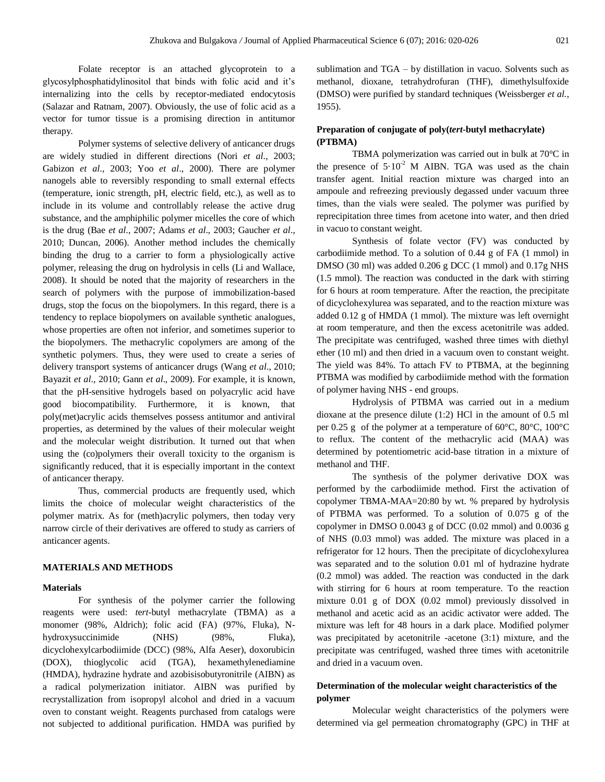Folate receptor is an attached glycoprotein to a glycosylphosphatidylinositol that binds with folic acid and it's internalizing into the cells by receptor-mediated endocytosis (Salazar and Ratnam, 2007). Obviously, the use of folic acid as a vector for tumor tissue is a promising direction in antitumor therapy.

Polymer systems of selective delivery of anticancer drugs are widely studied in different directions (Nori *et al*., 2003; Gabizon *et al*., 2003; Yoo *et al*., 2000). There are polymer nanogels able to reversibly responding to small external effects (temperature, ionic strength, pH, electric field, etc.), as well as to include in its volume and controllably release the active drug substance, and the amphiphilic polymer micelles the core of which is the drug (Bae *et al*., 2007; Adams *et al*., 2003; Gaucher *et al*., 2010; Duncan, 2006). Another method includes the chemically binding the drug to a carrier to form a physiologically active polymer, releasing the drug on hydrolysis in cells (Li and Wallace, 2008). It should be noted that the majority of researchers in the search of polymers with the purpose of immobilization-based drugs, stop the focus on the biopolymers. In this regard, there is a tendency to replace biopolymers on available synthetic analogues, whose properties are often not inferior, and sometimes superior to the biopolymers. The methacrylic copolymers are among of the synthetic polymers. Thus, they were used to create a series of delivery transport systems of anticancer drugs (Wang *et al*., 2010; Bayazit *et al*., 2010; Gann *et al*., 2009). For example, it is known, that the pH-sensitive hydrogels based on polyacrylic acid have good biocompatibility. Furthermore, it is known, that poly(met)acrylic acids themselves possess antitumor and antiviral properties, as determined by the values of their molecular weight and the molecular weight distribution. It turned out that when using the (co)polymers their overall toxicity to the organism is significantly reduced, that it is especially important in the context of anticancer therapy.

Thus, commercial products are frequently used, which limits the choice of molecular weight characteristics of the polymer matrix. As for (meth)acrylic polymers, then today very narrow circle of their derivatives are offered to study as carriers of anticancer agents.

# **MATERIALS AND METHODS**

# **Materials**

For synthesis of the polymer carrier the following reagents were used: *t*e*rt*-butyl methacrylate (TBMA) as a monomer (98%, Aldrich); folic acid (FA) (97%, Fluka), N[hydroxysuccinimide](https://yandex.ru/search/?csg=6226%2C8744%2C5%2C6%2C5%2C0%2C0&text=hydroxysuccinimide&lr=47&clid=1989595&msp=1) (NHS) (98%, Fluka), dicyclohexylcarbodiimide (DCC) (98%, Alfa Aeser), doxorubicin (DOX), thioglycolic acid (TGA), hexamethylenediamine (HMDA), hydrazine hydrate and azobisisobutyronitrile (AIBN) as a radical polymerization initiator. AIBN was purified by recrystallization from isopropyl alcohol and dried in a vacuum oven to constant weight. Reagents purchased from catalogs were not subjected to additional purification. HMDA was purified by sublimation and TGA – by distillation in vacuo. Solvents such as methanol, dioxane, tetrahydrofuran (THF), dimethylsulfoxide (DMSO) were purified by standard techniques (Weissberger *et al.*, 1955).

# **Preparation of conjugate of poly(***tert***-butyl methacrylate) (PTBMA)**

TBMA polymerization was carried out in bulk at 70°C in the presence of  $5.10^{-2}$  M AIBN. TGA was used as the chain transfer agent. Initial reaction mixture was charged into an ampoule and refreezing previously degassed under vacuum three times, than the vials were sealed. The polymer was purified by reprecipitation three times from acetone into water, and then dried in vacuo to constant weight.

Synthesis of folate vector (FV) was conducted by carbodiimide method. To a solution of 0.44 g of FA (1 mmol) in DMSO (30 ml) was added 0.206 g DCC (1 mmol) and 0.17g NHS (1.5 mmol). The reaction was conducted in the dark with stirring for 6 hours at room temperature. After the reaction, the precipitate of dicyclohexylurea was separated, and to the reaction mixture was added 0.12 g of HMDA (1 mmol). The mixture was left overnight at room temperature, and then the excess acetonitrile was added. The precipitate was centrifuged, washed three times with diethyl ether (10 ml) and then dried in a vacuum oven to constant weight. The yield was 84%. To attach FV to PTBMA, at the beginning PTBMA was modified by carbodiimide method with the formation of polymer having NHS - end groups.

Hydrolysis of PTBMA was carried out in a medium dioxane at the presence dilute (1:2) HCl in the amount of 0.5 ml per 0.25 g of the polymer at a temperature of 60°C, 80°C, 100°C to reflux. The content of the methacrylic acid (MAA) was determined by potentiometric acid-base titration in a mixture of methanol and THF.

The synthesis of the polymer derivative DOX was performed by the carbodiimide method. First the activation of copolymer TBMA-MAA=20:80 by wt. % prepared by hydrolysis of PTBMA was performed. To a solution of 0.075 g of the copolymer in DMSO 0.0043 g of DCC (0.02 mmol) and 0.0036 g of NHS (0.03 mmol) was added. The mixture was placed in a refrigerator for 12 hours. Then the precipitate of dicyclohexylurea was separated and to the solution 0.01 ml of hydrazine hydrate (0.2 mmol) was added. The reaction was conducted in the dark with stirring for 6 hours at room temperature. To the reaction mixture 0.01 g of DOX (0.02 mmol) previously dissolved in methanol and acetic acid as an acidic activator were added. The mixture was left for 48 hours in a dark place. Modified polymer was precipitated by acetonitrile -acetone (3:1) mixture, and the precipitate was centrifuged, washed three times with acetonitrile and dried in a vacuum oven.

# **Determination of the molecular weight characteristics of the polymer**

Molecular weight characteristics of the polymers were determined via gel permeation chromatography (GPC) in THF at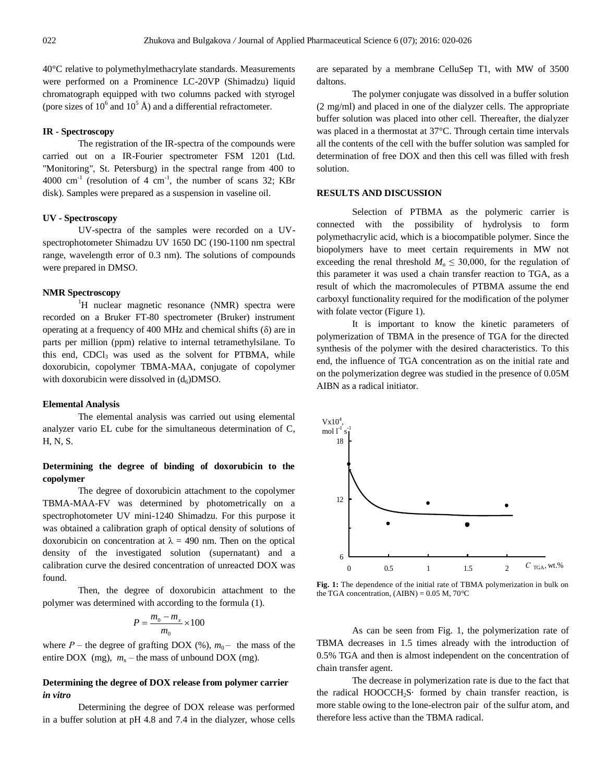40°C relative to polymethylmethacrylate standards. Measurements were performed on a Prominence LC-20VP (Shimadzu) liquid chromatograph equipped with two columns packed with styrogel (pore sizes of  $10^6$  and  $10^5$  Å) and a differential refractometer.

#### **IR - Spectroscopy**

The registration of the IR-spectra of the compounds were carried out on a IR-Fourier spectrometer FSM 1201 (Ltd. "Monitoring", St. Petersburg) in the spectral range from 400 to 4000 cm<sup>-1</sup> (resolution of 4 cm<sup>-1</sup>, the number of scans 32; KBr disk). Samples were prepared as a suspension in vaseline oil.

#### **UV - Spectroscopy**

UV-spectra of the samples were recorded on a UVspectrophotometer Shimadzu UV 1650 DC (190-1100 nm spectral range, wavelength error of 0.3 nm). The solutions of compounds were prepared in DMSO.

# **NMR Spectroscopy**

<sup>1</sup>H nuclear magnetic resonance (NMR) spectra were recorded on a Bruker FT-80 spectrometer (Bruker) instrument operating at a frequency of 400 MHz and chemical shifts  $(\delta)$  are in parts per million (ppm) relative to internal tetramethylsilane. To this end, CDCl<sub>3</sub> was used as the solvent for PTBMA, while doxorubicin, copolymer TBMA-MAA, conjugate of copolymer with doxorubicin were dissolved in  $(d_6)$ DMSO.

#### **Elemental Analysis**

The elemental analysis was carried out using elemental analyzer vario EL cube for the simultaneous determination of C, H, N, S.

# **Determining the degree of binding of doxorubicin to the copolymer**

The degree of doxorubicin attachment to the copolymer TBMA-MAA-FV was determined by photometrically on a spectrophotometer UV mini-1240 Shimadzu. For this purpose it was obtained a calibration graph of optical density of solutions of doxorubicin on concentration at  $\lambda = 490$  nm. Then on the optical density of the investigated solution (supernatant) and a calibration curve the desired concentration of unreacted DOX was found.

Then, the degree of doxorubicin attachment to the polymer was determined with according to the formula (1).

$$
P = \frac{m_{0} - m_{x}}{m_{0}} \times 100
$$

where  $P$  – the degree of grafting DOX (%),  $m_0$  – the mass of the entire DOX (mg),  $m_x$  – the mass of unbound DOX (mg).

# **Determining the degree of DOX release from polymer carrier**  *in vitro*

Determining the degree of DOX release was performed in a buffer solution at pH 4.8 and 7.4 in the dialyzer, whose cells are separated by a membrane CelluSep T1, with MW of 3500 daltons.

The polymer conjugate was dissolved in a buffer solution (2 mg/ml) and placed in one of the dialyzer cells. The appropriate buffer solution was placed into other cell. Thereafter, the dialyzer was placed in a thermostat at 37°C. Through certain time intervals all the contents of the cell with the buffer solution was sampled for determination of free DOX and then this cell was filled with fresh solution.

### **RESULTS AND DISCUSSION**

Selection of PTBMA as the polymeric carrier is connected with the possibility of hydrolysis to form polymethacrylic acid, which is a biocompatible polymer. Since the biopolymers have to meet certain requirements in MW not exceeding the renal threshold  $M_n \leq 30,000$ , for the regulation of this parameter it was used a chain transfer reaction to TGA, as a result of which the macromolecules of PTBMA assume the end carboxyl functionality required for the modification of the polymer with folate vector (Figure 1).

It is important to know the kinetic parameters of polymerization of TBMA in the presence of TGA for the directed synthesis of the polymer with the desired characteristics. To this end, the influence of TGA concentration as on the initial rate and on the polymerization degree was studied in the presence of 0.05M AIBN as a radical initiator.



**Fig. 1:** The dependence of the initial rate of TBMA polymerization in bulk on the TGA concentration,  $(AIBN) = 0.05 M$ ,  $70^{\circ}C$ 

As can be seen from Fig. 1, the polymerization rate of TBMA decreases in 1.5 times already with the introduction of 0.5% TGA and then is almost independent on the concentration of chain transfer agent.

The decrease in polymerization rate is due to the fact that the radical HOOCCH2S· formed by chain transfer reaction, is more stable owing to the lone-electron pair of the sulfur atom, and therefore less active than the TBMA radical.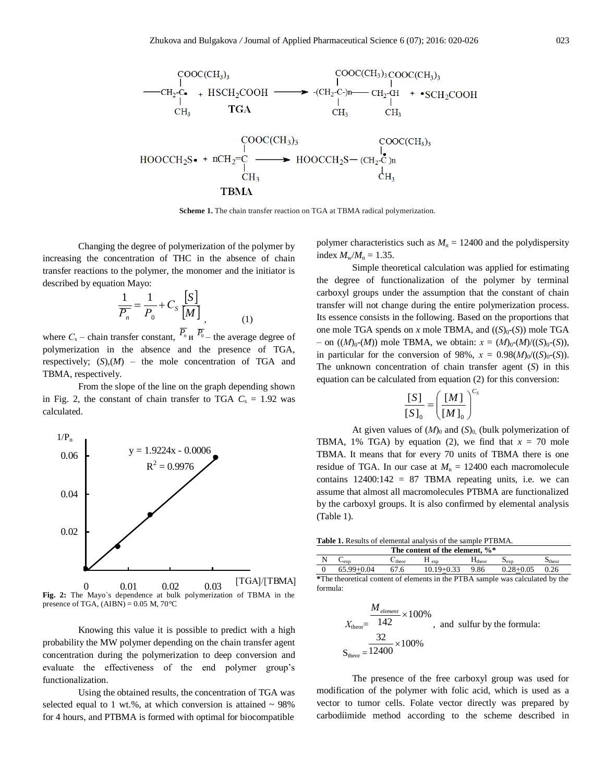

Scheme 1. The chain transfer reaction on TGA at TBMA radical polymerization.

Changing the degree of polymerization of the polymer by increasing the concentration of THC in the absence of chain transfer reactions to the polymer, the monomer and the initiator is described by equation Mayo:

$$
\frac{1}{\overline{P_n}} = \frac{1}{P_0} + C_S \frac{[S]}{[M]},
$$
\n(1)

where  $C_s$  – chain transfer constant,  $\overline{P_n}$   $\overline{P_0}$  – the average degree of polymerization in the absence and the presence of TGA, respectively;  $(S)(M)$  – the mole concentration of TGA and TBMA, respectively.

From the slope of the line on the graph depending shown in Fig. 2, the constant of chain transfer to TGA  $C_s = 1.92$  was calculated.



**Fig. 2:** The Mayo`s dependence at bulk polymerization of TBMA in the presence of TGA,  $(AIBN) = 0.05$  M,  $70^{\circ}$ C

Knowing this value it is possible to predict with a high probability the MW polymer depending on the chain transfer agent concentration during the polymerization to deep conversion and evaluate the effectiveness of the end polymer group's functionalization.

Using the obtained results, the concentration of TGA was selected equal to 1 wt.%, at which conversion is attained  $\sim$  98% for 4 hours, and PTBMA is formed with optimal for biocompatible

polymer characteristics such as  $M<sub>n</sub> = 12400$  and the polydispersity index  $M_{w}/M_{n} = 1.35$ .

Simple theoretical calculation was applied for estimating the degree of functionalization of the polymer by terminal carboxyl groups under the assumption that the constant of chain transfer will not change during the entire polymerization process. Its essence consists in the following. Based on the proportions that one mole TGA spends on *x* mole TBMA, and  $((S)_0-(S))$  mole TGA  $-$  on ((*M*)<sub>0</sub>-(*M*)) mole TBMA, we obtain:  $x = (M)_{0}-(M)/((S)_{0}-(S))$ , in particular for the conversion of 98%,  $x = 0.98(M)_{0} / ((S)_{0}-(S))$ . The unknown concentration of chain transfer agent (*S*) in this equation can be calculated from equation (2) for this conversion:

$$
\frac{\begin{bmatrix} S \end{bmatrix}}{\begin{bmatrix} S \end{bmatrix}_0} = \left(\frac{\begin{bmatrix} M \end{bmatrix}}{\begin{bmatrix} M \end{bmatrix}_0}\right)^{C_s}
$$

At given values of  $(M)$ <sup>0</sup> and  $(S)$ <sup>0</sup><sub>0</sub> (bulk polymerization of TBMA, 1% TGA) by equation (2), we find that  $x = 70$  mole TBMA. It means that for every 70 units of TBMA there is one residue of TGA. In our case at  $M_n = 12400$  each macromolecule contains  $12400:142 = 87$  TBMA repeating units, i.e. we can assume that almost all macromolecules PTBMA are functionalized by the carboxyl groups. It is also confirmed by elemental analysis (Table 1).

| Table 1. Results of elemental analysis of the sample PTBMA. |  |  |  |  |  |  |  |
|-------------------------------------------------------------|--|--|--|--|--|--|--|
| The content of the element, %*                              |  |  |  |  |  |  |  |

| - N                                                                           | $C_{\rm exp}$ | $C_{\text{theor}}$ | $H_{\text{exn}}$            | $H_{\text{theor}}$ | $S_{\rm exp}$ | $S_{\text{theor}}$ |  |  |
|-------------------------------------------------------------------------------|---------------|--------------------|-----------------------------|--------------------|---------------|--------------------|--|--|
| $\overline{0}$                                                                | 65.99+0.04    | 67.6               | $10.19+0.33$ 9.86 0.28+0.05 |                    |               | 0.26               |  |  |
| *The theoretical content of elements in the PTBA sample was calculated by the |               |                    |                             |                    |               |                    |  |  |
| formula:                                                                      |               |                    |                             |                    |               |                    |  |  |

$$
X_{\text{theor}} = \frac{M_{\text{element}}}{142} \times 100\%
$$
, and sulfur by the formula:  

$$
S_{\text{theor}} = \frac{32}{12400} \times 100\%
$$

The presence of the free carboxyl group was used for modification of the polymer with folic acid, which is used as a vector to tumor cells. Folate vector directly was prepared by carbodiimide method according to the scheme described in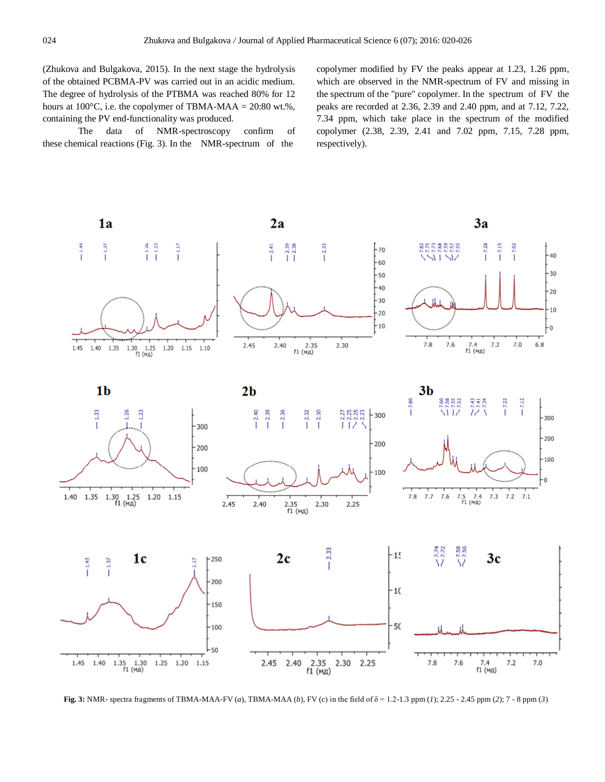[\(Zhukova a](http://elibrary.ru/author_items.asp?authorid=657393)nd Bulgakova, 2015). In the next stage the hydrolysis of the obtained PCBMA-PV was carried out in an acidic medium. The degree of hydrolysis of the PTBMA was reached 80% for 12 hours at  $100^{\circ}$ C, i.e. the copolymer of TBMA-MAA = 20:80 wt.%, containing the PV end-functionality was produced.

The data of NMR-spectroscopy confirm of these chemical reactions (Fig. 3). In the NMR-spectrum of the

copolymer modified by FV the peaks appear at 1.23, 1.26 ppm, which are observed in the NMR-spectrum of FV and missing in the spectrum of the "pure" copolymer. In the spectrum of FV the peaks are recorded at 2.36, 2.39 and 2.40 ppm, and at 7.12, 7.22, 7.34 ppm, which take place in the spectrum of the modified copolymer (2.38, 2.39, 2.41 and 7.02 ppm, 7.15, 7.28 ppm, respectively).



**Fig. 3:** NMR- spectra fragments of TBMA-MAA-FV (*a*), TBMA-MAA (*b*), FV (*c*) in the field of δ = 1.2-1.3 ppm (*1*); 2.25 - 2.45 ppm (*2*); 7 - 8 ppm (*3*)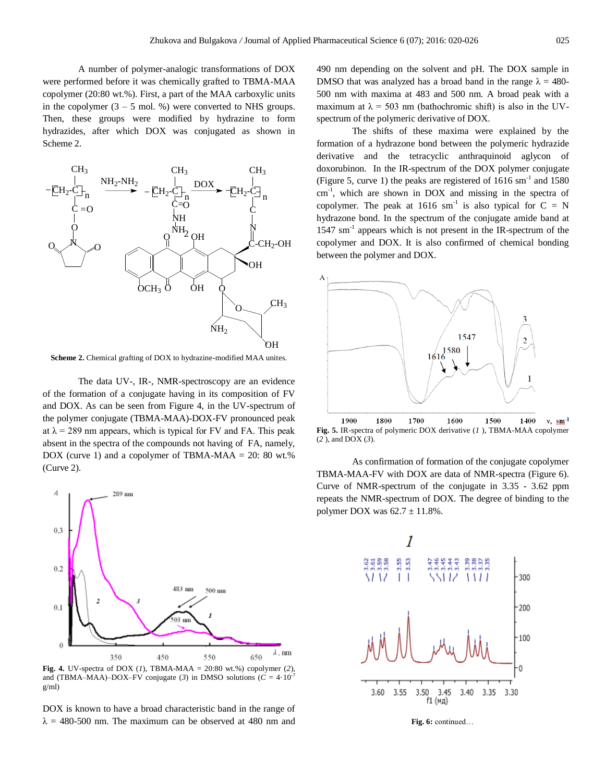A number of polymer-analogic transformations of DOX were performed before it was chemically grafted to TBMA-MAA copolymer (20:80 wt.%). First, a part of the MAA carboxylic units in the copolymer  $(3 - 5 \text{ mol. } %$ ) were converted to NHS groups. Then, these groups were modified by hydrazine to form hydrazides, after which DOX was conjugated as shown in Scheme 2.



**Scheme 2.** Chemical grafting of DOX to hydrazine-modified MAA unites.

The data UV-, IR-, NMR-spectroscopy are an evidence of the formation of a conjugate having in its composition of FV and DOX. As can be seen from Figure 4, in the UV-spectrum of the polymer conjugate (TBMA-MAA)-DOX-FV pronounced peak at  $\lambda$  = 289 nm appears, which is typical for FV and FA. This peak absent in the spectra of the compounds not having of FA, namely, DOX (curve 1) and a copolymer of TBMA-MAA =  $20: 80$  wt.% (Curve 2).



**Fig. 4.** UV-spectra of DOX (*1*), TBMA-MAA = 20:80 wt.%) copolymer (2), and (TBMA–MAA)–DOX–FV conjugate (3) in DMSO solutions ( $C = 4.10^{-7}$ g/ml)

DOX is known to have a broad characteristic band in the range of  $\lambda$  = 480-500 nm. The maximum can be observed at 480 nm and 490 nm depending on the solvent and pH. The DOX sample in DMSO that was analyzed has a broad band in the range  $\lambda = 480$ -500 nm with maxima at 483 and 500 nm. A broad peak with a maximum at  $\lambda = 503$  nm (bathochromic shift) is also in the UVspectrum of the polymeric derivative of DOX.

The shifts of these maxima were explained by the formation of a hydrazone bond between the polymeric hydrazide derivative and the tetracyclic anthraquinoid aglycon of doxorubinon. In the IR-spectrum of the DOX polymer conjugate (Figure 5, curve 1) the peaks are registered of  $1616 \text{ sm}^{-1}$  and  $1580$ cm<sup>-1</sup>, which are shown in DOX and missing in the spectra of copolymer. The peak at 1616 sm<sup>-1</sup> is also typical for  $C = N$ hydrazone bond. In the spectrum of the conjugate amide band at 1547 sm<sup>-1</sup> appears which is not present in the IR-spectrum of the copolymer and DOX. It is also confirmed of chemical bonding between the polymer and DOX.



 $v, \, \text{sm}^{-1}$ **Fig. 5.** IR-spectra of polymeric DOX derivative (*1* ), TBMA-MAA copolymer (*2* ), and DOX (*3*).

As confirmation of formation of the conjugate copolymer TBMA-MAA-FV with DOX are data of NMR-spectra (Figure 6). Curve of NMR-spectrum of the conjugate in 3.35 - 3.62 ppm repeats the NMR-spectrum of DOX. The degree of binding to the polymer DOX was  $62.7 \pm 11.8\%$ .



**Fig. 6:** continued…